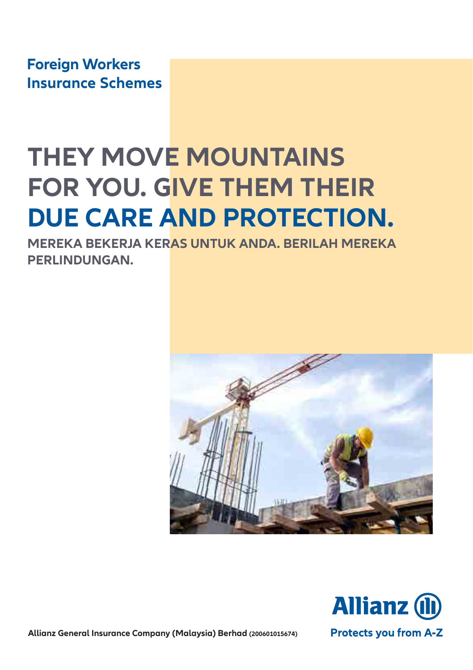**Foreign Workers Insurance Schemes**

# **THEY MOVE MOUNTAINS FOR YOU. GIVE THEM THEIR DUE CARE AND PROTECTION.**

**MEREKA BEKERJA KERAS UNTUK ANDA. BERILAH MEREKA PERLINDUNGAN.**





**Allianz General Insurance Company (Malaysia) Berhad (200601015674)**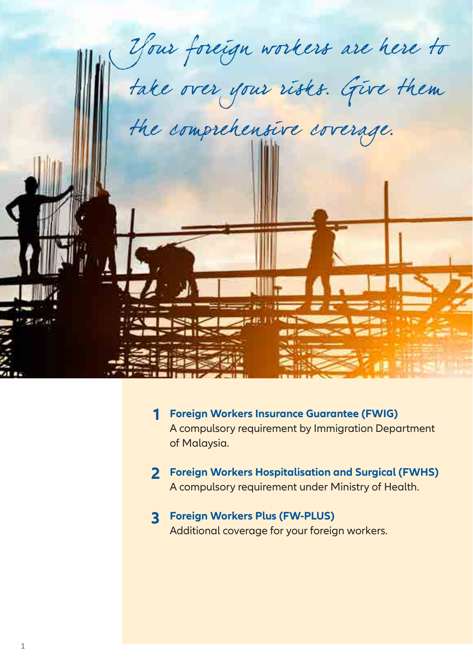

- **Foreign Workers Insurance Guarantee (FWIG) 1** A compulsory requirement by Immigration Department of Malaysia.
- **Foreign Workers Hospitalisation and Surgical (FWHS) 2** A compulsory requirement under Ministry of Health.
- **Foreign Workers Plus (FW-PLUS) 3**Additional coverage for your foreign workers.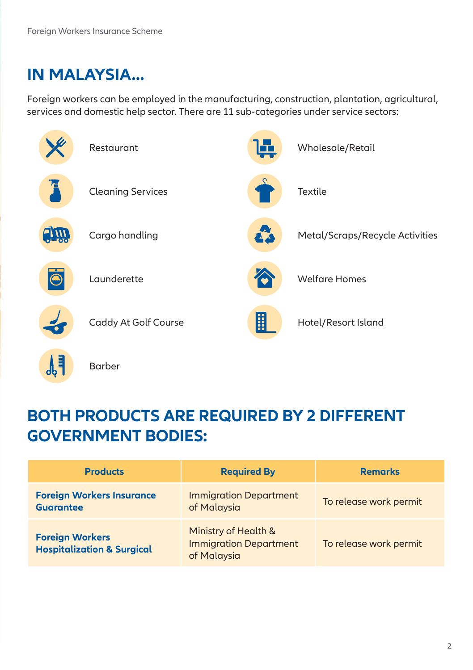## **IN MALAYSIA...**

Foreign workers can be employed in the manufacturing, construction, plantation, agricultural, services and domestic help sector. There are 11 sub-categories under service sectors:





## **BOTH PRODUCTS ARE REQUIRED BY 2 DIFFERENT GOVERNMENT BODIES:**

| <b>Products</b>                                                 | <b>Required By</b>                                                   | <b>Remarks</b>         |
|-----------------------------------------------------------------|----------------------------------------------------------------------|------------------------|
| <b>Foreign Workers Insurance</b><br><b>Guarantee</b>            | <b>Immigration Department</b><br>of Malaysia                         | To release work permit |
| <b>Foreign Workers</b><br><b>Hospitalization &amp; Surgical</b> | Ministry of Health &<br><b>Immigration Department</b><br>of Malaysia | To release work permit |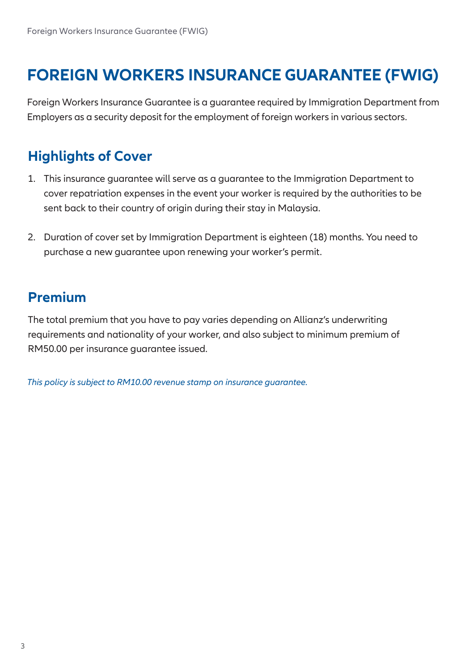## **FOREIGN WORKERS INSURANCE GUARANTEE (FWIG)**

Foreign Workers Insurance Guarantee is a guarantee required by Immigration Department from Employers as a security deposit for the employment of foreign workers in various sectors.

## **Highlights of Cover**

- 1. This insurance guarantee will serve as a guarantee to the Immigration Department to cover repatriation expenses in the event your worker is required by the authorities to be sent back to their country of origin during their stay in Malaysia.
- 2. Duration of cover set by Immigration Department is eighteen (18) months. You need to purchase a new guarantee upon renewing your worker's permit.

#### **Premium**

The total premium that you have to pay varies depending on Allianz's underwriting requirements and nationality of your worker, and also subject to minimum premium of RM50.00 per insurance guarantee issued.

*This policy is subject to RM10.00 revenue stamp on insurance guarantee.*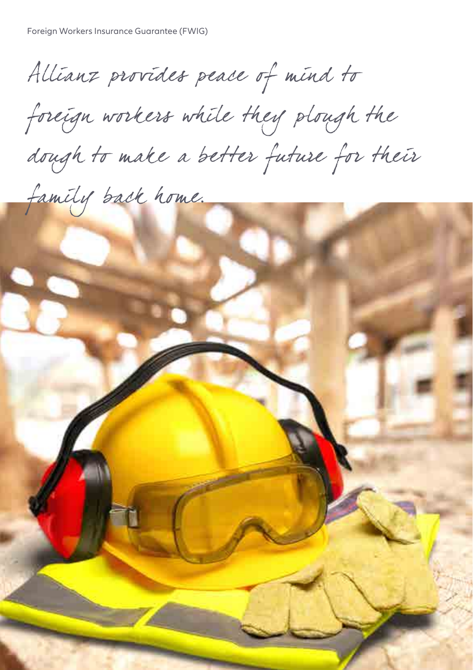Allianz provides peace of mind to

foreign workers while they plough the dough to make a better future for their

4

family back home.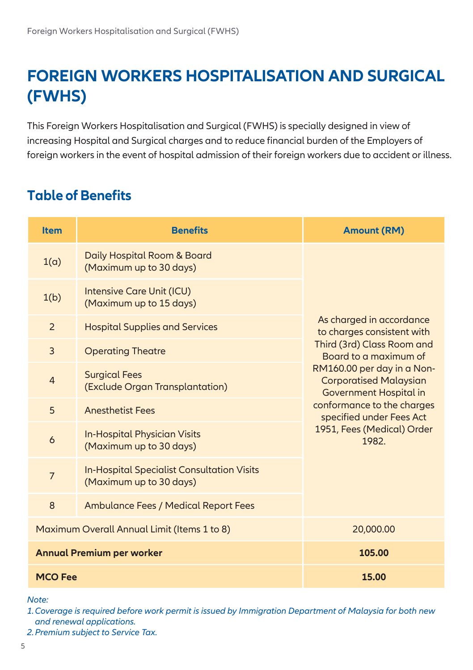## **FOREIGN WORKERS HOSPITALISATION AND SURGICAL (FWHS)**

This Foreign Workers Hospitalisation and Surgical (FWHS) is specially designed in view of increasing Hospital and Surgical charges and to reduce financial burden of the Employers of foreign workers in the event of hospital admission of their foreign workers due to accident or illness.

## **Table of Benefits**

| <b>Item</b>    | <b>Benefits</b>                                                              | <b>Amount (RM)</b>                                                                                                                                                                                                                                               |
|----------------|------------------------------------------------------------------------------|------------------------------------------------------------------------------------------------------------------------------------------------------------------------------------------------------------------------------------------------------------------|
| 1(a)           | Daily Hospital Room & Board<br>(Maximum up to 30 days)                       | As charged in accordance<br>to charges consistent with<br>Third (3rd) Class Room and<br>Board to a maximum of<br>RM160.00 per day in a Non-<br><b>Corporatised Malaysian</b><br>Government Hospital in<br>conformance to the charges<br>specified under Fees Act |
| 1(b)           | Intensive Care Unit (ICU)<br>(Maximum up to 15 days)                         |                                                                                                                                                                                                                                                                  |
| 2              | <b>Hospital Supplies and Services</b>                                        |                                                                                                                                                                                                                                                                  |
| $\overline{3}$ | <b>Operating Theatre</b>                                                     |                                                                                                                                                                                                                                                                  |
| $\overline{4}$ | <b>Surgical Fees</b><br>(Exclude Organ Transplantation)                      |                                                                                                                                                                                                                                                                  |
| 5              | <b>Anesthetist Fees</b>                                                      |                                                                                                                                                                                                                                                                  |
| 6              | <b>In-Hospital Physician Visits</b><br>(Maximum up to 30 days)               | 1951, Fees (Medical) Order<br>1982                                                                                                                                                                                                                               |
| $\overline{7}$ | <b>In-Hospital Specialist Consultation Visits</b><br>(Maximum up to 30 days) |                                                                                                                                                                                                                                                                  |
| 8              | <b>Ambulance Fees / Medical Report Fees</b>                                  |                                                                                                                                                                                                                                                                  |
|                | Maximum Overall Annual Limit (Items 1 to 8)                                  | 20,000.00                                                                                                                                                                                                                                                        |
|                | <b>Annual Premium per worker</b>                                             | 105.00                                                                                                                                                                                                                                                           |
| <b>MCO Fee</b> |                                                                              | 15.00                                                                                                                                                                                                                                                            |

*Note:*

*1. Coverage is required before work permit is issued by Immigration Department of Malaysia for both new and renewal applications.*

*2.Premium subject to Service Tax.*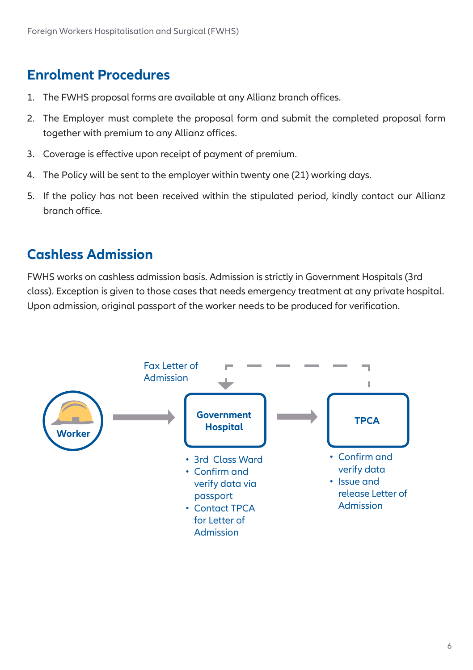#### **Enrolment Procedures**

- 1. The FWHS proposal forms are available at any Allianz branch offices.
- 2. The Employer must complete the proposal form and submit the completed proposal form together with premium to any Allianz offices.
- 3. Coverage is effective upon receipt of payment of premium.
- 4. The Policy will be sent to the employer within twenty one (21) working days.
- 5. If the policy has not been received within the stipulated period, kindly contact our Allianz branch office.

#### **Cashless Admission**

FWHS works on cashless admission basis. Admission is strictly in Government Hospitals (3rd class). Exception is given to those cases that needs emergency treatment at any private hospital. Upon admission, original passport of the worker needs to be produced for verification.

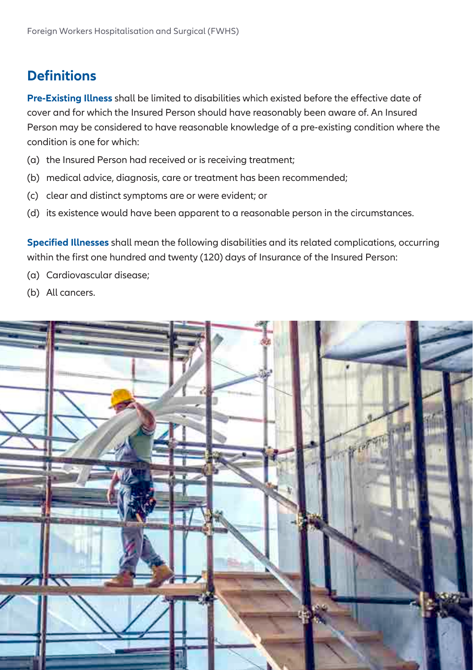## **Definitions**

**Pre-Existing Illness** shall be limited to disabilities which existed before the effective date of cover and for which the Insured Person should have reasonably been aware of. An Insured Person may be considered to have reasonable knowledge of a pre-existing condition where the condition is one for which:

- (a) the Insured Person had received or is receiving treatment;
- (b) medical advice, diagnosis, care or treatment has been recommended;
- (c) clear and distinct symptoms are or were evident; or
- (d) its existence would have been apparent to a reasonable person in the circumstances.

**Specified Illnesses** shall mean the following disabilities and its related complications, occurring within the first one hundred and twenty (120) days of Insurance of the Insured Person:

- (a) Cardiovascular disease;
- (b) All cancers.

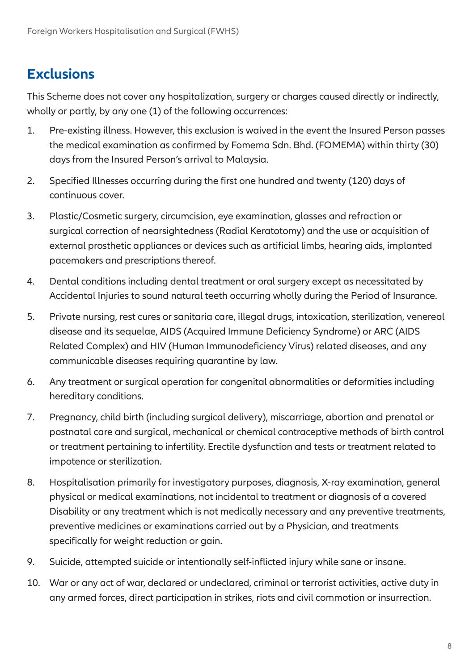## **Exclusions**

This Scheme does not cover any hospitalization, surgery or charges caused directly or indirectly, wholly or partly, by any one (1) of the following occurrences:

- 1. Pre-existing illness. However, this exclusion is waived in the event the Insured Person passes the medical examination as confirmed by Fomema Sdn. Bhd. (FOMEMA) within thirty (30) days from the Insured Person's arrival to Malaysia.
- 2. Specified Illnesses occurring during the first one hundred and twenty (120) days of continuous cover.
- 3. Plastic/Cosmetic surgery, circumcision, eye examination, glasses and refraction or surgical correction of nearsightedness (Radial Keratotomy) and the use or acquisition of external prosthetic appliances or devices such as artificial limbs, hearing aids, implanted pacemakers and prescriptions thereof.
- 4. Dental conditions including dental treatment or oral surgery except as necessitated by Accidental Injuries to sound natural teeth occurring wholly during the Period of Insurance.
- 5. Private nursing, rest cures or sanitaria care, illegal drugs, intoxication, sterilization, venereal disease and its sequelae, AIDS (Acquired Immune Deficiency Syndrome) or ARC (AIDS Related Complex) and HIV (Human Immunodeficiency Virus) related diseases, and any communicable diseases requiring quarantine by law.
- 6. Any treatment or surgical operation for congenital abnormalities or deformities including hereditary conditions.
- 7. Pregnancy, child birth (including surgical delivery), miscarriage, abortion and prenatal or postnatal care and surgical, mechanical or chemical contraceptive methods of birth control or treatment pertaining to infertility. Erectile dysfunction and tests or treatment related to impotence or sterilization.
- 8. Hospitalisation primarily for investigatory purposes, diagnosis, X-ray examination, general physical or medical examinations, not incidental to treatment or diagnosis of a covered Disability or any treatment which is not medically necessary and any preventive treatments, preventive medicines or examinations carried out by a Physician, and treatments specifically for weight reduction or gain.
- 9. Suicide, attempted suicide or intentionally self-inflicted injury while sane or insane.
- 10. War or any act of war, declared or undeclared, criminal or terrorist activities, active duty in any armed forces, direct participation in strikes, riots and civil commotion or insurrection.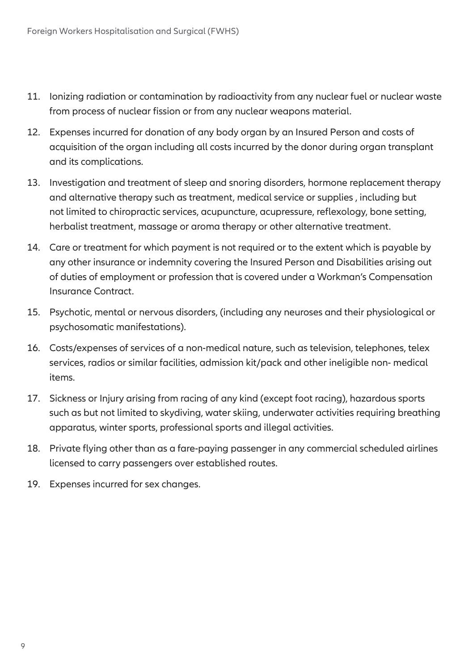- 11. Ionizing radiation or contamination by radioactivity from any nuclear fuel or nuclear waste from process of nuclear fission or from any nuclear weapons material.
- 12. Expenses incurred for donation of any body organ by an Insured Person and costs of acquisition of the organ including all costs incurred by the donor during organ transplant and its complications.
- 13. Investigation and treatment of sleep and snoring disorders, hormone replacement therapy and alternative therapy such as treatment, medical service or supplies , including but not limited to chiropractic services, acupuncture, acupressure, reflexology, bone setting, herbalist treatment, massage or aroma therapy or other alternative treatment.
- 14. Care or treatment for which payment is not required or to the extent which is payable by any other insurance or indemnity covering the Insured Person and Disabilities arising out of duties of employment or profession that is covered under a Workman's Compensation Insurance Contract.
- 15. Psychotic, mental or nervous disorders, (including any neuroses and their physiological or psychosomatic manifestations).
- 16. Costs/expenses of services of a non-medical nature, such as television, telephones, telex services, radios or similar facilities, admission kit/pack and other ineligible non- medical items.
- 17. Sickness or Injury arising from racing of any kind (except foot racing), hazardous sports such as but not limited to skydiving, water skiing, underwater activities requiring breathing apparatus, winter sports, professional sports and illegal activities.
- 18. Private flying other than as a fare-paying passenger in any commercial scheduled airlines licensed to carry passengers over established routes.
- 19. Expenses incurred for sex changes.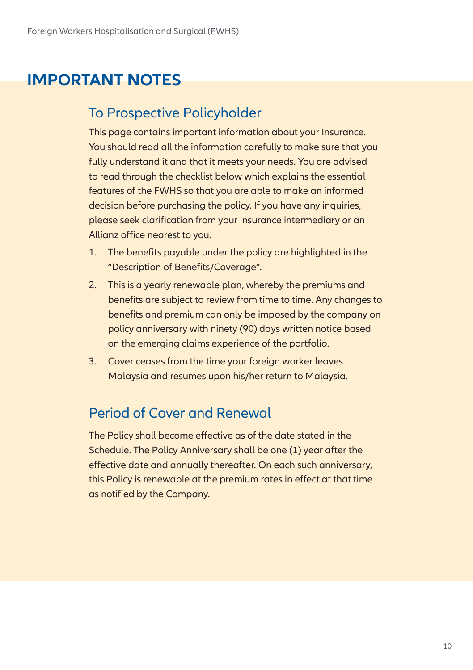## **IMPORTANT NOTES**

## To Prospective Policyholder

This page contains important information about your Insurance. You should read all the information carefully to make sure that you fully understand it and that it meets your needs. You are advised to read through the checklist below which explains the essential features of the FWHS so that you are able to make an informed decision before purchasing the policy. If you have any inquiries, please seek clarification from your insurance intermediary or an Allianz office nearest to you.

- 1. The benefits payable under the policy are highlighted in the "Description of Benefits/Coverage".
- 2. This is a yearly renewable plan, whereby the premiums and benefits are subject to review from time to time. Any changes to benefits and premium can only be imposed by the company on policy anniversary with ninety (90) days written notice based on the emerging claims experience of the portfolio.
- 3. Cover ceases from the time your foreign worker leaves Malaysia and resumes upon his/her return to Malaysia.

### Period of Cover and Renewal

The Policy shall become effective as of the date stated in the Schedule. The Policy Anniversary shall be one (1) year after the effective date and annually thereafter. On each such anniversary, this Policy is renewable at the premium rates in effect at that time as notified by the Company.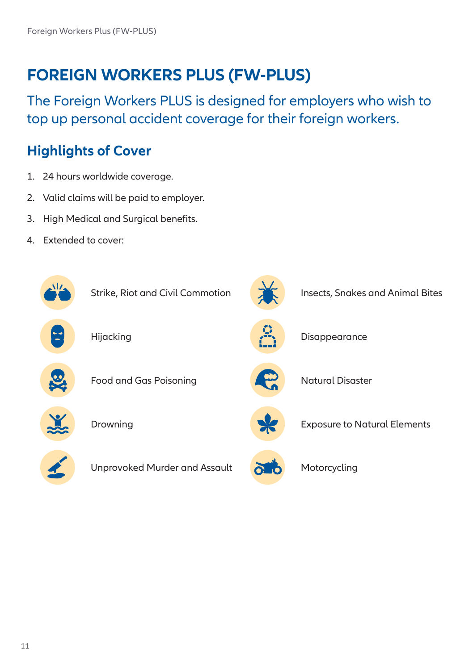## **FOREIGN WORKERS PLUS (FW-PLUS)**

The Foreign Workers PLUS is designed for employers who wish to top up personal accident coverage for their foreign workers.

## **Highlights of Cover**

- 1. 24 hours worldwide coverage.
- 2. Valid claims will be paid to employer.
- 3. High Medical and Surgical benefits.
- 4. Extended to cover:

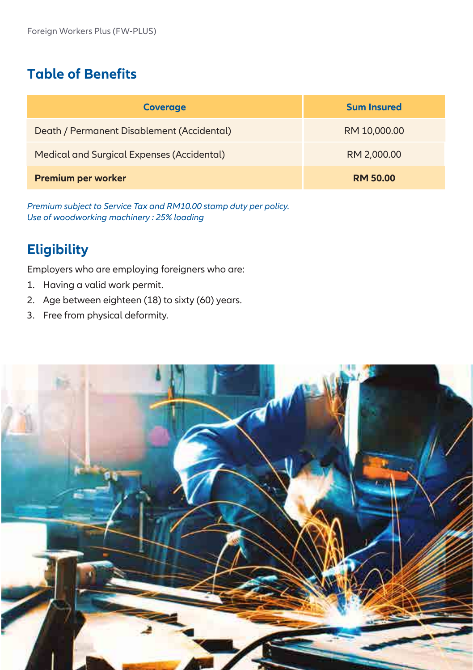## **Table of Benefits**

| <b>Coverage</b>                            | <b>Sum Insured</b> |
|--------------------------------------------|--------------------|
| Death / Permanent Disablement (Accidental) | RM 10,000.00       |
| Medical and Surgical Expenses (Accidental) | RM 2,000.00        |
| <b>Premium per worker</b>                  | <b>RM 50.00</b>    |

*Premium subject to Service Tax and RM10.00 stamp duty per policy. Use of woodworking machinery : 25% loading*

## **Eligibility**

Employers who are employing foreigners who are:

- 1. Having a valid work permit.
- 2. Age between eighteen (18) to sixty (60) years.
- 3. Free from physical deformity.

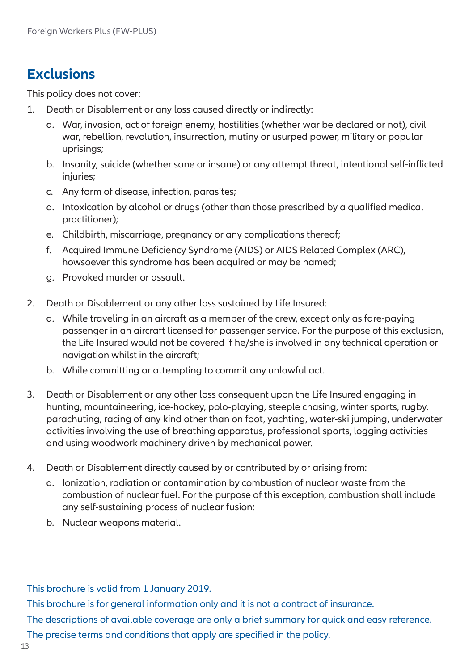## **Exclusions**

This policy does not cover:

- 1. Death or Disablement or any loss caused directly or indirectly:
	- a. War, invasion, act of foreign enemy, hostilities (whether war be declared or not), civil war, rebellion, revolution, insurrection, mutiny or usurped power, military or popular uprisings;
	- b. Insanity, suicide (whether sane or insane) or any attempt threat, intentional self-inflicted injuries;
	- c. Any form of disease, infection, parasites;
	- d. Intoxication by alcohol or drugs (other than those prescribed by a qualified medical practitioner);
	- e. Childbirth, miscarriage, pregnancy or any complications thereof;
	- f. Acquired Immune Deficiency Syndrome (AIDS) or AIDS Related Complex (ARC), howsoever this syndrome has been acquired or may be named;
	- g. Provoked murder or assault.
- 2. Death or Disablement or any other loss sustained by Life Insured:
	- a. While traveling in an aircraft as a member of the crew, except only as fare-paying passenger in an aircraft licensed for passenger service. For the purpose of this exclusion, the Life Insured would not be covered if he/she is involved in any technical operation or navigation whilst in the aircraft;
	- b. While committing or attempting to commit any unlawful act.
- 3. Death or Disablement or any other loss consequent upon the Life Insured engaging in hunting, mountaineering, ice-hockey, polo-playing, steeple chasing, winter sports, rugby, parachuting, racing of any kind other than on foot, yachting, water-ski jumping, underwater activities involving the use of breathing apparatus, professional sports, logging activities and using woodwork machinery driven by mechanical power.
- 4. Death or Disablement directly caused by or contributed by or arising from:
	- a. Ionization, radiation or contamination by combustion of nuclear waste from the combustion of nuclear fuel. For the purpose of this exception, combustion shall include any self-sustaining process of nuclear fusion;
	- b. Nuclear weapons material.

This brochure is valid from 1 January 2019.

This brochure is for general information only and it is not a contract of insurance.

The descriptions of available coverage are only a brief summary for quick and easy reference.

The precise terms and conditions that apply are specified in the policy.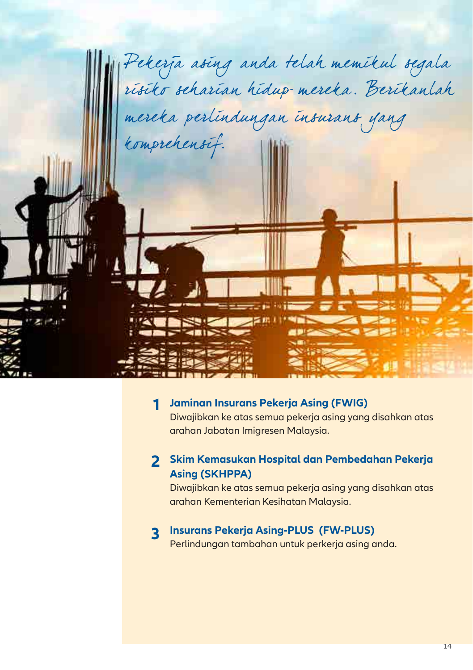

#### **Jaminan Insurans Pekerja Asing (FWIG) 1**

Diwajibkan ke atas semua pekerja asing yang disahkan atas arahan Jabatan Imigresen Malaysia.

#### **Skim Kemasukan Hospital dan Pembedahan Pekerja 2 Asing (SKHPPA)**

Diwajibkan ke atas semua pekerja asing yang disahkan atas arahan Kementerian Kesihatan Malaysia.

## **Insurans Pekerja Asing-PLUS (FW-PLUS) 3**

Perlindungan tambahan untuk perkerja asing anda.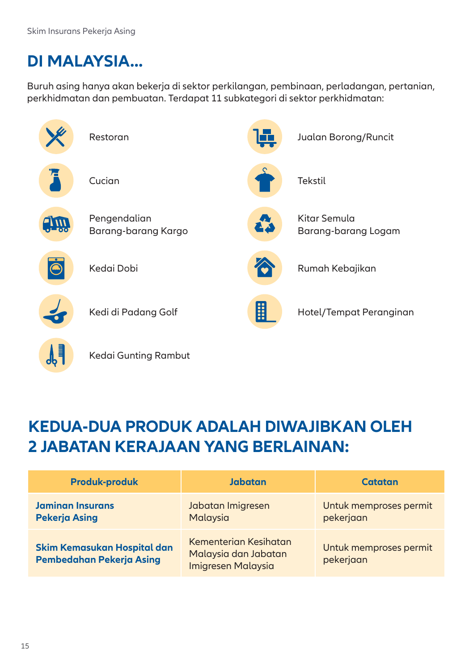## **DI MALAYSIA...**

Buruh asing hanya akan bekerja di sektor perkilangan, pembinaan, perladangan, pertanian, perkhidmatan dan pembuatan. Terdapat 11 subkategori di sektor perkhidmatan:

|                      | Restoran                            |    | Jualan Borong/Runcit                |
|----------------------|-------------------------------------|----|-------------------------------------|
|                      | Cucian                              |    | Tekstil                             |
| $\frac{1}{\sqrt{2}}$ | Pengendalian<br>Barang-barang Kargo | 43 | Kitar Semula<br>Barang-barang Logam |
|                      | Kedai Dobi                          |    | Rumah Kebajikan                     |
|                      | Kedi di Padang Golf                 | H  | Hotel/Tempat Peranginan             |
|                      | Kedai Gunting Rambut                |    |                                     |

## **KEDUA-DUA PRODUK ADALAH DIWAJIBKAN OLEH 2 JABATAN KERAJAAN YANG BERLAINAN:**

| <b>Produk-produk</b>                                    | Jabatan                                                                    | Catatan                             |
|---------------------------------------------------------|----------------------------------------------------------------------------|-------------------------------------|
| <b>Jaminan Insurans</b><br><b>Pekerja Asing</b>         | Jabatan Imigresen<br>Malaysia                                              | Untuk memproses permit<br>pekerjaan |
| Skim Kemasukan Hospital dan<br>Pembedahan Pekerja Asing | Kementerian Kesihatan<br>Malaysia dan Jabatan<br><b>Imigresen Malaysia</b> | Untuk memproses permit<br>pekerjaan |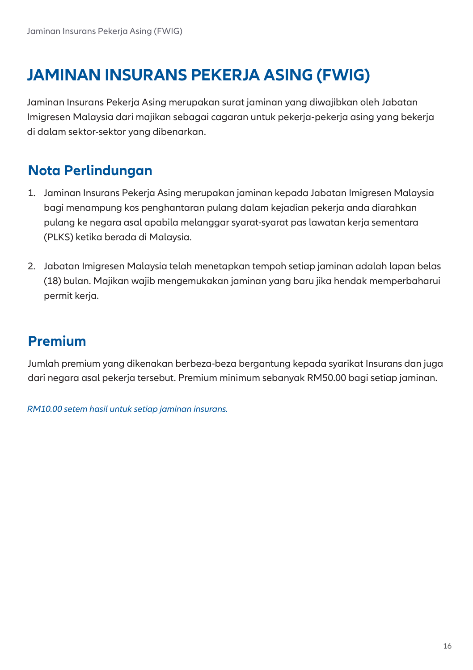## **JAMINAN INSURANS PEKERJA ASING (FWIG)**

Jaminan Insurans Pekerja Asing merupakan surat jaminan yang diwajibkan oleh Jabatan Imigresen Malaysia dari majikan sebagai cagaran untuk pekerja-pekerja asing yang bekerja di dalam sektor-sektor yang dibenarkan.

## **Nota Perlindungan**

- 1. Jaminan Insurans Pekerja Asing merupakan jaminan kepada Jabatan Imigresen Malaysia bagi menampung kos penghantaran pulang dalam kejadian pekerja anda diarahkan pulang ke negara asal apabila melanggar syarat-syarat pas lawatan kerja sementara (PLKS) ketika berada di Malaysia.
- 2. Jabatan Imigresen Malaysia telah menetapkan tempoh setiap jaminan adalah lapan belas (18) bulan. Majikan wajib mengemukakan jaminan yang baru jika hendak memperbaharui permit kerja.

## **Premium**

Jumlah premium yang dikenakan berbeza-beza bergantung kepada syarikat Insurans dan juga dari negara asal pekerja tersebut. Premium minimum sebanyak RM50.00 bagi setiap jaminan.

*RM10.00 setem hasil untuk setiap jaminan insurans.*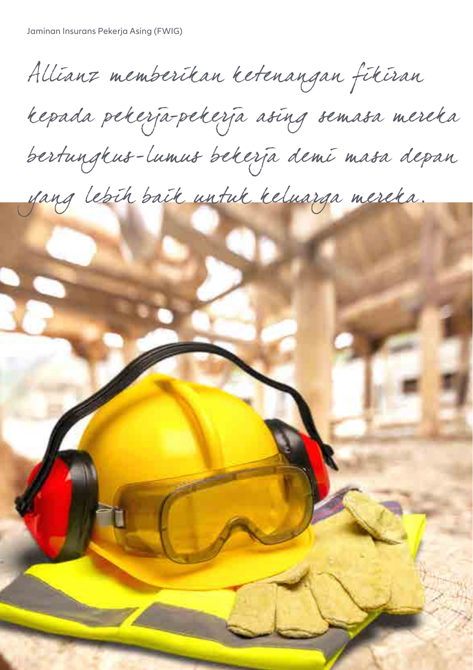Allianz memberikan ketenangan fikiran

kepada pekerja-pekerja asing semasa mereka

bertungkus-lumus bekerja demi masa depan

yang lebih baik untuk keluarga mereka.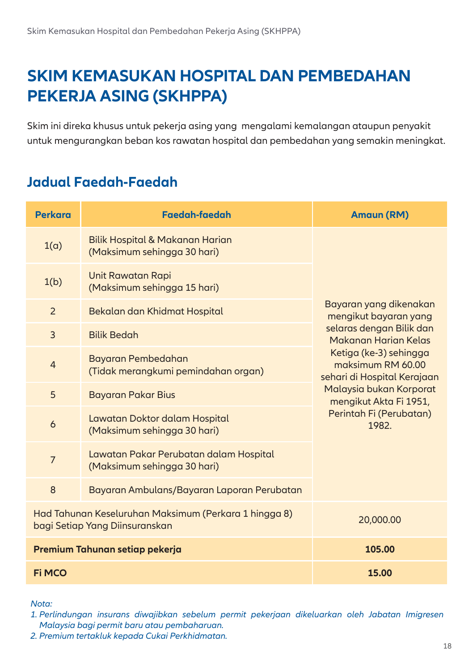## **SKIM KEMASUKAN HOSPITAL DAN PEMBEDAHAN PEKERJA ASING (SKHPPA)**

Skim ini direka khusus untuk pekerja asing yang mengalami kemalangan ataupun penyakit untuk mengurangkan beban kos rawatan hospital dan pembedahan yang semakin meningkat.

## **Jadual Faedah-Faedah**

| <b>Perkara</b> | Faedah-faedah                                                                           | <b>Amaun (RM)</b>                                                                                                                                                                 |
|----------------|-----------------------------------------------------------------------------------------|-----------------------------------------------------------------------------------------------------------------------------------------------------------------------------------|
| $1(\alpha)$    | Bilik Hospital & Makanan Harian<br>(Maksimum sehingga 30 hari)                          | Bayaran yang dikenakan<br>mengikut bayaran yang<br>selaras dengan Bilik dan<br>Makanan Harian Kelas<br>Ketiga (ke-3) sehingga<br>maksimum RM 60.00<br>sehari di Hospital Kerajaan |
| 1(b)           | Unit Rawatan Rapi<br>(Maksimum sehingga 15 hari)                                        |                                                                                                                                                                                   |
| 2              | Bekalan dan Khidmat Hospital                                                            |                                                                                                                                                                                   |
| 3              | <b>Bilik Bedah</b>                                                                      |                                                                                                                                                                                   |
| $\overline{4}$ | Bayaran Pembedahan<br>(Tidak merangkumi pemindahan organ)                               |                                                                                                                                                                                   |
| 5              | Bayaran Pakar Bius                                                                      | Malaysia bukan Korporat<br>mengikut Akta Fi 1951,                                                                                                                                 |
| 6              | Lawatan Doktor dalam Hospital<br>(Maksimum sehingga 30 hari)                            | Perintah Fi (Perubatan)<br>1982.                                                                                                                                                  |
| $\overline{7}$ | Lawatan Pakar Perubatan dalam Hospital<br>(Maksimum sehingga 30 hari)                   |                                                                                                                                                                                   |
| 8              | Bayaran Ambulans/Bayaran Laporan Perubatan                                              |                                                                                                                                                                                   |
|                | Had Tahunan Keseluruhan Maksimum (Perkara 1 hingga 8)<br>bagi Setiap Yang Diinsuranskan | 20,000.00                                                                                                                                                                         |
|                | Premium Tahunan setiap pekerja                                                          | 105.00                                                                                                                                                                            |
| <b>Fi MCO</b>  |                                                                                         | 15.00                                                                                                                                                                             |

#### *Nota:*

*1. Perlindungan insurans diwajibkan sebelum permit pekerjaan dikeluarkan oleh Jabatan Imigresen Malaysia bagi permit baru atau pembaharuan.*

*<sup>2.</sup> Premium tertakluk kepada Cukai Perkhidmatan.*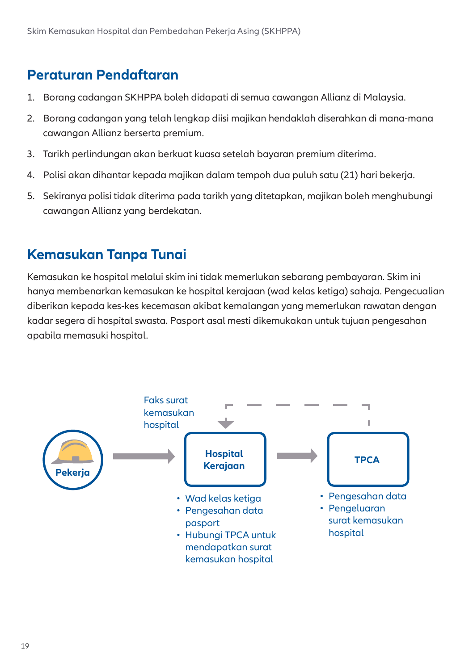### **Peraturan Pendaftaran**

- 1. Borang cadangan SKHPPA boleh didapati di semua cawangan Allianz di Malaysia.
- 2. Borang cadangan yang telah lengkap diisi majikan hendaklah diserahkan di mana-mana cawangan Allianz berserta premium.
- 3. Tarikh perlindungan akan berkuat kuasa setelah bayaran premium diterima.
- 4. Polisi akan dihantar kepada majikan dalam tempoh dua puluh satu (21) hari bekerja.
- 5. Sekiranya polisi tidak diterima pada tarikh yang ditetapkan, majikan boleh menghubungi cawangan Allianz yang berdekatan.

#### **Kemasukan Tanpa Tunai**

Kemasukan ke hospital melalui skim ini tidak memerlukan sebarang pembayaran. Skim ini hanya membenarkan kemasukan ke hospital kerajaan (wad kelas ketiga) sahaja. Pengecualian diberikan kepada kes-kes kecemasan akibat kemalangan yang memerlukan rawatan dengan kadar segera di hospital swasta. Pasport asal mesti dikemukakan untuk tujuan pengesahan apabila memasuki hospital.

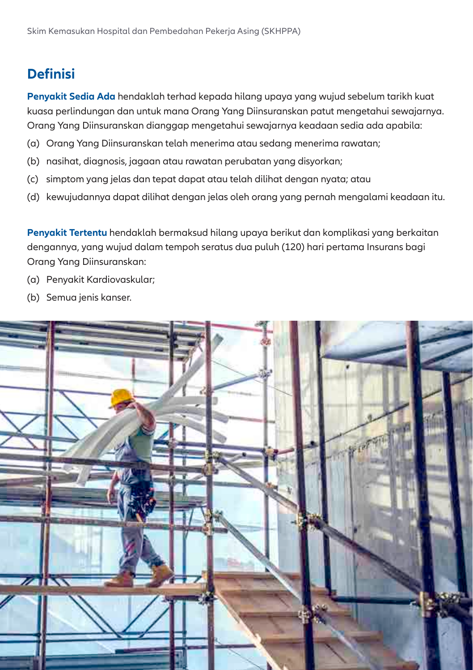### **Definisi**

**Penyakit Sedia Ada** hendaklah terhad kepada hilang upaya yang wujud sebelum tarikh kuat kuasa perlindungan dan untuk mana Orang Yang Diinsuranskan patut mengetahui sewajarnya. Orang Yang Diinsuranskan dianggap mengetahui sewajarnya keadaan sedia ada apabila:

- (a) Orang Yang Diinsuranskan telah menerima atau sedang menerima rawatan;
- (b) nasihat, diagnosis, jagaan atau rawatan perubatan yang disyorkan;
- (c) simptom yang jelas dan tepat dapat atau telah dilihat dengan nyata; atau
- (d) kewujudannya dapat dilihat dengan jelas oleh orang yang pernah mengalami keadaan itu.

**Penyakit Tertentu** hendaklah bermaksud hilang upaya berikut dan komplikasi yang berkaitan dengannya, yang wujud dalam tempoh seratus dua puluh (120) hari pertama Insurans bagi Orang Yang Diinsuranskan:

- (a) Penyakit Kardiovaskular;
- (b) Semua jenis kanser.

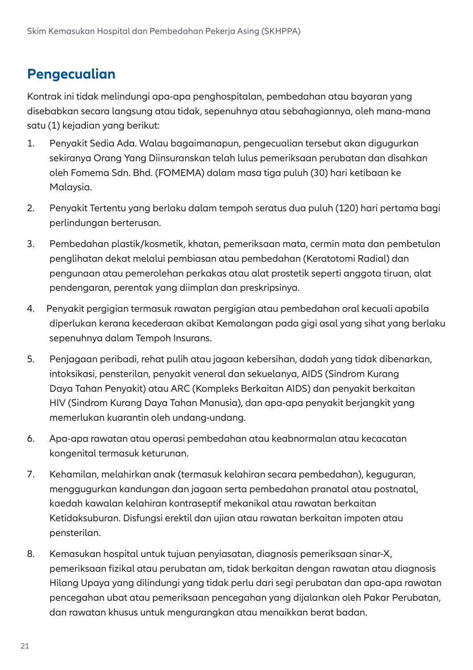### **Pengecualian**

Kontrak ini tidak melindungi apa-apa penghospitalan, pembedahan atau bayaran yang disebabkan secara langsung atau tidak, sepenuhnya atau sebahagiannya, oleh mana-mana satu (1) kejadian yang berikut:

- 1. Penyakit Sedia Ada. Walau bagaimanapun, pengecualian tersebut akan digugurkan sekiranya Orang Yang Diinsuranskan telah lulus pemeriksaan perubatan dan disahkan oleh Fomema Sdn. Bhd. (FOMEMA) dalam masa tiga puluh (30) hari ketibaan ke Malaysia.
- 2. Penyakit Tertentu yang berlaku dalam tempoh seratus dua puluh (120) hari pertama bagi perlindungan berterusan.
- 3. Pembedahan plastik/kosmetik, khatan, pemeriksaan mata, cermin mata dan pembetulan penglihatan dekat melalui pembiasan atau pembedahan (Keratotomi Radial) dan pengunaan atau pemerolehan perkakas atau alat prostetik seperti anggota tiruan, alat pendengaran, perentak yang diimplan dan preskripsinya.
- 4. Penyakit pergigian termasuk rawatan pergigian atau pembedahan oral kecuali apabila diperlukan kerana kecederaan akibat Kemalangan pada gigi asal yang sihat yang berlaku sepenuhnya dalam Tempoh Insurans.
- 5. Penjagaan peribadi, rehat pulih atau jagaan kebersihan, dadah yang tidak dibenarkan, intoksikasi, pensterilan, penyakit veneral dan sekuelanya, AIDS (Sindrom Kurang Daya Tahan Penyakit) atau ARC (Kompleks Berkaitan AIDS) dan penyakit berkaitan HIV (Sindrom Kurang Daya Tahan Manusia), dan apa-apa penyakit berjangkit yang memerlukan kuarantin oleh undang-undang.
- 6. Apa-apa rawatan atau operasi pembedahan atau keabnormalan atau kecacatan kongenital termasuk keturunan.
- 7. Kehamilan, melahirkan anak (termasuk kelahiran secara pembedahan), keguguran, menggugurkan kandungan dan jagaan serta pembedahan pranatal atau postnatal, kaedah kawalan kelahiran kontraseptif mekanikal atau rawatan berkaitan Ketidaksuburan. Disfungsi erektil dan ujian atau rawatan berkaitan impoten atau pensterilan.
- 8. Kemasukan hospital untuk tujuan penyiasatan, diagnosis pemeriksaan sinar-X, pemeriksaan fizikal atau perubatan am, tidak berkaitan dengan rawatan atau diagnosis Hilang Upaya yang dilindungi yang tidak perlu dari segi perubatan dan apa-apa rawatan pencegahan ubat atau pemeriksaan pencegahan yang dijalankan oleh Pakar Perubatan, dan rawatan khusus untuk mengurangkan atau menaikkan berat badan.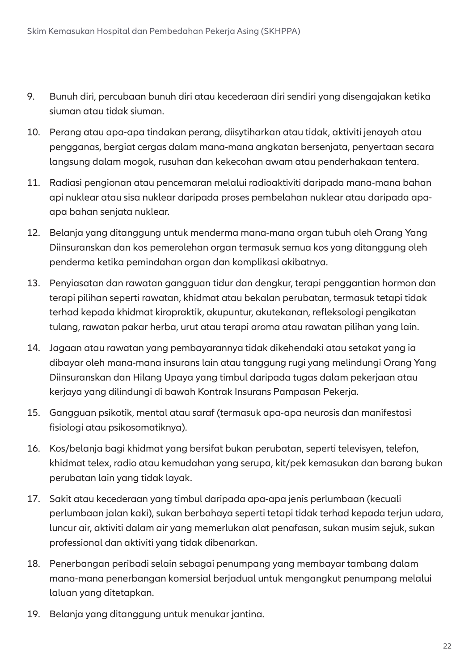- 9. Bunuh diri, percubaan bunuh diri atau kecederaan diri sendiri yang disengajakan ketika siuman atau tidak siuman.
- 10. Perang atau apa-apa tindakan perang, diisytiharkan atau tidak, aktiviti jenayah atau pengganas, bergiat cergas dalam mana-mana angkatan bersenjata, penyertaan secara langsung dalam mogok, rusuhan dan kekecohan awam atau penderhakaan tentera.
- 11. Radiasi pengionan atau pencemaran melalui radioaktiviti daripada mana-mana bahan api nuklear atau sisa nuklear daripada proses pembelahan nuklear atau daripada apaapa bahan senjata nuklear.
- 12. Belanja yang ditanggung untuk menderma mana-mana organ tubuh oleh Orang Yang Diinsuranskan dan kos pemerolehan organ termasuk semua kos yang ditanggung oleh penderma ketika pemindahan organ dan komplikasi akibatnya.
- 13. Penyiasatan dan rawatan gangguan tidur dan dengkur, terapi penggantian hormon dan terapi pilihan seperti rawatan, khidmat atau bekalan perubatan, termasuk tetapi tidak terhad kepada khidmat kiropraktik, akupuntur, akutekanan, refleksologi pengikatan tulang, rawatan pakar herba, urut atau terapi aroma atau rawatan pilihan yang lain.
- 14. Jagaan atau rawatan yang pembayarannya tidak dikehendaki atau setakat yang ia dibayar oleh mana-mana insurans lain atau tanggung rugi yang melindungi Orang Yang Diinsuranskan dan Hilang Upaya yang timbul daripada tugas dalam pekerjaan atau kerjaya yang dilindungi di bawah Kontrak Insurans Pampasan Pekerja.
- 15. Gangguan psikotik, mental atau saraf (termasuk apa-apa neurosis dan manifestasi fisiologi atau psikosomatiknya).
- 16. Kos/belanja bagi khidmat yang bersifat bukan perubatan, seperti televisyen, telefon, khidmat telex, radio atau kemudahan yang serupa, kit/pek kemasukan dan barang bukan perubatan lain yang tidak layak.
- 17. Sakit atau kecederaan yang timbul daripada apa-apa jenis perlumbaan (kecuali perlumbaan jalan kaki), sukan berbahaya seperti tetapi tidak terhad kepada terjun udara, luncur air, aktiviti dalam air yang memerlukan alat penafasan, sukan musim sejuk, sukan professional dan aktiviti yang tidak dibenarkan.
- 18. Penerbangan peribadi selain sebagai penumpang yang membayar tambang dalam mana-mana penerbangan komersial berjadual untuk mengangkut penumpang melalui laluan yang ditetapkan.
- 19. Belanja yang ditanggung untuk menukar jantina.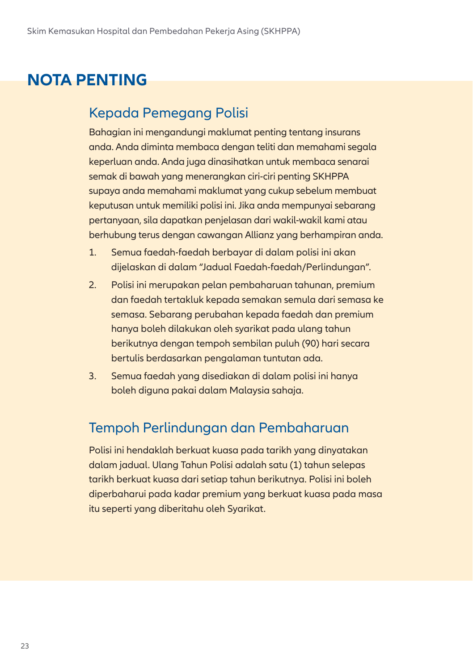## **NOTA PENTING**

## Kepada Pemegang Polisi

Bahagian ini mengandungi maklumat penting tentang insurans anda. Anda diminta membaca dengan teliti dan memahami segala keperluan anda. Anda juga dinasihatkan untuk membaca senarai semak di bawah yang menerangkan ciri-ciri penting SKHPPA supaya anda memahami maklumat yang cukup sebelum membuat keputusan untuk memiliki polisi ini. Jika anda mempunyai sebarang pertanyaan, sila dapatkan penjelasan dari wakil-wakil kami atau berhubung terus dengan cawangan Allianz yang berhampiran anda.

- 1. Semua faedah-faedah berbayar di dalam polisi ini akan dijelaskan di dalam "Jadual Faedah-faedah/Perlindungan".
- 2. Polisi ini merupakan pelan pembaharuan tahunan, premium dan faedah tertakluk kepada semakan semula dari semasa ke semasa. Sebarang perubahan kepada faedah dan premium hanya boleh dilakukan oleh syarikat pada ulang tahun berikutnya dengan tempoh sembilan puluh (90) hari secara bertulis berdasarkan pengalaman tuntutan ada.
- 3. Semua faedah yang disediakan di dalam polisi ini hanya boleh diguna pakai dalam Malaysia sahaja.

### Tempoh Perlindungan dan Pembaharuan

Polisi ini hendaklah berkuat kuasa pada tarikh yang dinyatakan dalam jadual. Ulang Tahun Polisi adalah satu (1) tahun selepas tarikh berkuat kuasa dari setiap tahun berikutnya. Polisi ini boleh diperbaharui pada kadar premium yang berkuat kuasa pada masa itu seperti yang diberitahu oleh Syarikat.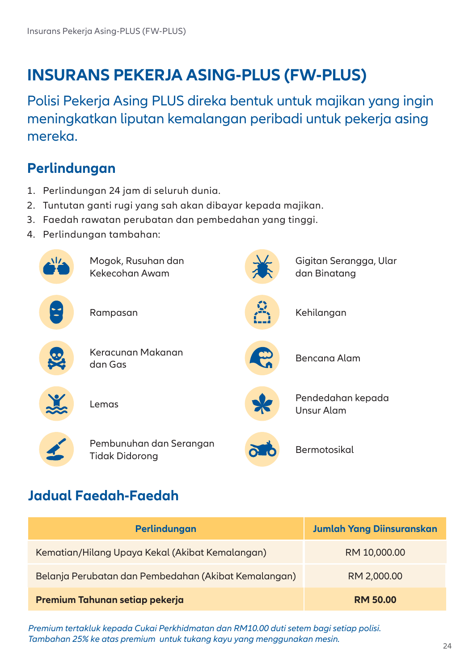## **INSURANS PEKERJA ASING-PLUS (FW-PLUS)**

Polisi Pekerja Asing PLUS direka bentuk untuk majikan yang ingin meningkatkan liputan kemalangan peribadi untuk pekerja asing mereka.

## **Perlindungan**

- 1. Perlindungan 24 jam di seluruh dunia.
- 2. Tuntutan ganti rugi yang sah akan dibayar kepada majikan.
- 3. Faedah rawatan perubatan dan pembedahan yang tinggi.
- 4. Perlindungan tambahan:



## **Jadual Faedah-Faedah**

| Perlindungan                                         | <b>Jumlah Yang Diinsuranskan</b> |
|------------------------------------------------------|----------------------------------|
| Kematian/Hilang Upaya Kekal (Akibat Kemalangan)      | RM 10,000.00                     |
| Belanja Perubatan dan Pembedahan (Akibat Kemalangan) | RM 2,000.00                      |
| Premium Tahunan setiap pekerja                       | <b>RM 50.00</b>                  |

*Premium tertakluk kepada Cukai Perkhidmatan dan RM10.00 duti setem bagi setiap polisi. Tambahan 25% ke atas premium untuk tukang kayu yang menggunakan mesin.*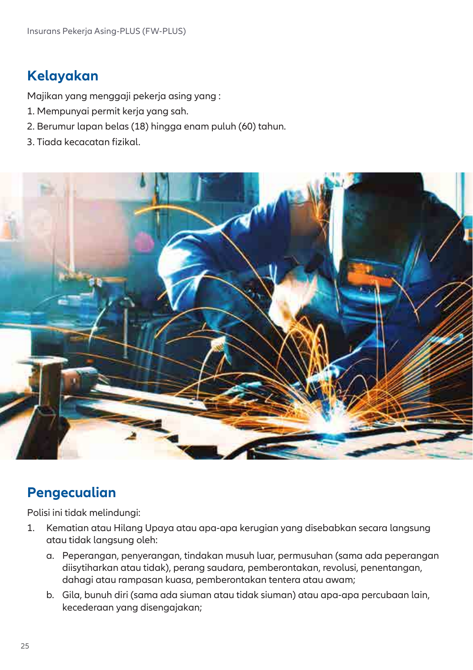## **Kelayakan**

Majikan yang menggaji pekerja asing yang :

- 1. Mempunyai permit kerja yang sah.
- 2. Berumur lapan belas (18) hingga enam puluh (60) tahun.
- 3. Tiada kecacatan fizikal.



### **Pengecualian**

Polisi ini tidak melindungi:

- 1. Kematian atau Hilang Upaya atau apa-apa kerugian yang disebabkan secara langsung atau tidak langsung oleh:
	- a. Peperangan, penyerangan, tindakan musuh luar, permusuhan (sama ada peperangan diisytiharkan atau tidak), perang saudara, pemberontakan, revolusi, penentangan, dahagi atau rampasan kuasa, pemberontakan tentera atau awam;
	- b. Gila, bunuh diri (sama ada siuman atau tidak siuman) atau apa-apa percubaan lain, kecederaan yang disengajakan;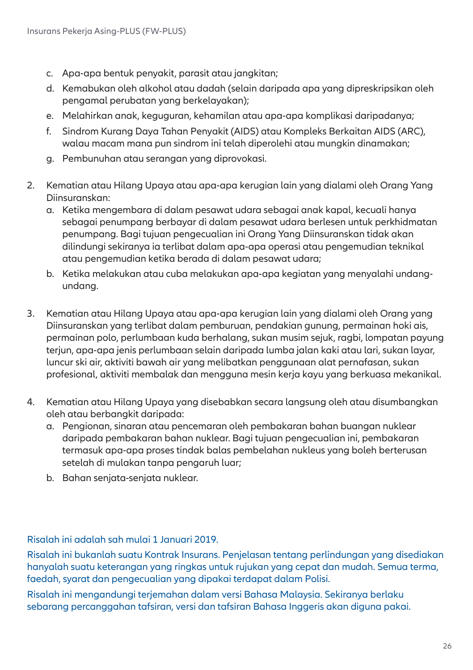- c. Apa-apa bentuk penyakit, parasit atau jangkitan;
- d. Kemabukan oleh alkohol atau dadah (selain daripada apa yang dipreskripsikan oleh pengamal perubatan yang berkelayakan);
- e. Melahirkan anak, keguguran, kehamilan atau apa-apa komplikasi daripadanya;
- f. Sindrom Kurang Daya Tahan Penyakit (AIDS) atau Kompleks Berkaitan AIDS (ARC), walau macam mana pun sindrom ini telah diperolehi atau mungkin dinamakan;
- g. Pembunuhan atau serangan yang diprovokasi.
- 2. Kematian atau Hilang Upaya atau apa-apa kerugian lain yang dialami oleh Orang Yang Diinsuranskan:
	- a. Ketika mengembara di dalam pesawat udara sebagai anak kapal, kecuali hanya sebagai penumpang berbayar di dalam pesawat udara berlesen untuk perkhidmatan penumpang. Bagi tujuan pengecualian ini Orang Yang Diinsuranskan tidak akan dilindungi sekiranya ia terlibat dalam apa-apa operasi atau pengemudian teknikal atau pengemudian ketika berada di dalam pesawat udara;
	- b. Ketika melakukan atau cuba melakukan apa-apa kegiatan yang menyalahi undangundang.
- 3. Kematian atau Hilang Upaya atau apa-apa kerugian lain yang dialami oleh Orang yang Diinsuranskan yang terlibat dalam pemburuan, pendakian gunung, permainan hoki ais, permainan polo, perlumbaan kuda berhalang, sukan musim sejuk, ragbi, lompatan payung terjun, apa-apa jenis perlumbaan selain daripada lumba jalan kaki atau lari, sukan layar, luncur ski air, aktiviti bawah air yang melibatkan penggunaan alat pernafasan, sukan profesional, aktiviti membalak dan mengguna mesin kerja kayu yang berkuasa mekanikal.
- 4. Kematian atau Hilang Upaya yang disebabkan secara langsung oleh atau disumbangkan oleh atau berbangkit daripada:
	- a. Pengionan, sinaran atau pencemaran oleh pembakaran bahan buangan nuklear daripada pembakaran bahan nuklear. Bagi tujuan pengecualian ini, pembakaran termasuk apa-apa proses tindak balas pembelahan nukleus yang boleh berterusan setelah di mulakan tanpa pengaruh luar;
	- b. Bahan senjata-senjata nuklear.

Risalah ini adalah sah mulai 1 Januari 2019.

Risalah ini bukanlah suatu Kontrak Insurans. Penjelasan tentang perlindungan yang disediakan hanyalah suatu keterangan yang ringkas untuk rujukan yang cepat dan mudah. Semua terma, faedah, syarat dan pengecualian yang dipakai terdapat dalam Polisi.

Risalah ini mengandungi terjemahan dalam versi Bahasa Malaysia. Sekiranya berlaku sebarang percanggahan tafsiran, versi dan tafsiran Bahasa Inggeris akan diguna pakai.